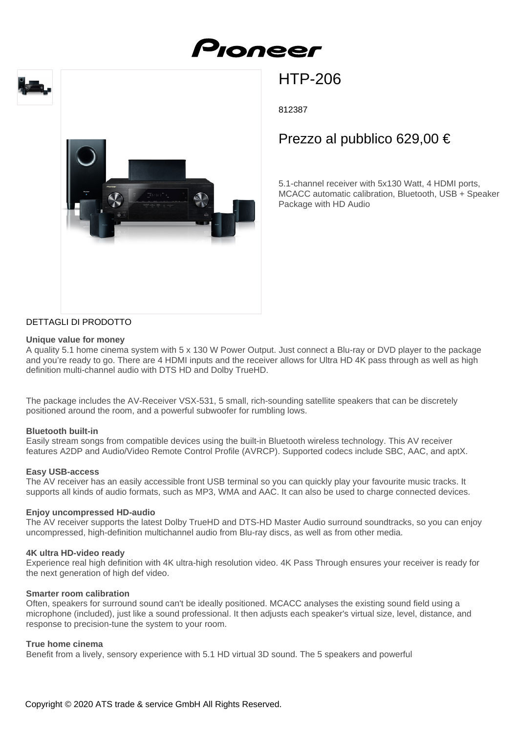





# HTP-206

812387

# Prezzo al pubblico 629,00 €

5.1-channel receiver with 5x130 Watt, 4 HDMI ports, MCACC automatic calibration, Bluetooth, USB + Speaker Package with HD Audio

# DETTAGLI DI PRODOTTO

### **Unique value for money**

A quality 5.1 home cinema system with 5 x 130 W Power Output. Just connect a Blu-ray or DVD player to the package and you're ready to go. There are 4 HDMI inputs and the receiver allows for Ultra HD 4K pass through as well as high definition multi-channel audio with DTS HD and Dolby TrueHD.

The package includes the AV-Receiver VSX-531, 5 small, rich-sounding satellite speakers that can be discretely positioned around the room, and a powerful subwoofer for rumbling lows.

## **Bluetooth built-in**

Easily stream songs from compatible devices using the built-in Bluetooth wireless technology. This AV receiver features A2DP and Audio/Video Remote Control Profile (AVRCP). Supported codecs include SBC, AAC, and aptX.

#### **Easy USB-access**

The AV receiver has an easily accessible front USB terminal so you can quickly play your favourite music tracks. It supports all kinds of audio formats, such as MP3, WMA and AAC. It can also be used to charge connected devices.

#### **Enjoy uncompressed HD-audio**

The AV receiver supports the latest Dolby TrueHD and DTS-HD Master Audio surround soundtracks, so you can enjoy uncompressed, high-definition multichannel audio from Blu-ray discs, as well as from other media.

#### **4K ultra HD-video ready**

Experience real high definition with 4K ultra-high resolution video. 4K Pass Through ensures your receiver is ready for the next generation of high def video.

#### **Smarter room calibration**

Often, speakers for surround sound can't be ideally positioned. MCACC analyses the existing sound field using a microphone (included), just like a sound professional. It then adjusts each speaker's virtual size, level, distance, and response to precision-tune the system to your room.

## **True home cinema**

Benefit from a lively, sensory experience with 5.1 HD virtual 3D sound. The 5 speakers and powerful